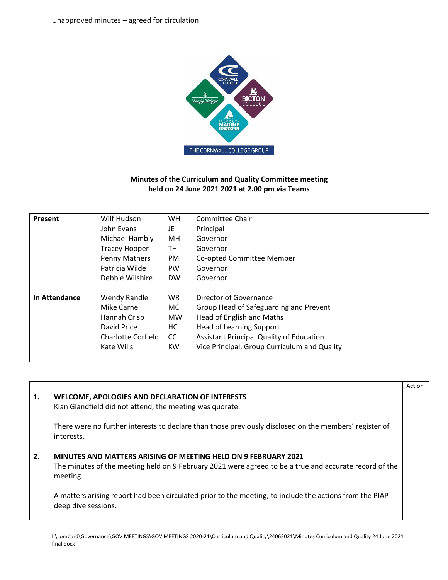

## **Minutes of the Curriculum and Quality Committee meeting held on 24 June 2021 2021 at 2.00 pm via Teams**

| Present       | Wilf Hudson               | <b>WH</b> | Committee Chair                                 |
|---------------|---------------------------|-----------|-------------------------------------------------|
|               | John Evans                | JE        | Principal                                       |
|               | Michael Hambly            | MH        | Governor                                        |
|               | <b>Tracey Hooper</b>      | TН        | Governor                                        |
|               | Penny Mathers             | PM        | Co-opted Committee Member                       |
|               | Patricia Wilde            | PW        | Governor                                        |
|               | Debbie Wilshire           | <b>DW</b> | Governor                                        |
| In Attendance | Wendy Randle              | WR.       | Director of Governance                          |
|               | Mike Carnell              | MC.       | Group Head of Safeguarding and Prevent          |
|               | Hannah Crisp              | <b>MW</b> | Head of English and Maths                       |
|               | David Price               | НC        | <b>Head of Learning Support</b>                 |
|               | <b>Charlotte Corfield</b> | cc        | <b>Assistant Principal Quality of Education</b> |
|               | Kate Wills                | <b>KW</b> | Vice Principal, Group Curriculum and Quality    |
|               |                           |           |                                                 |

|    |                                                                                                                                                                                                                                                                                                                        | Action |
|----|------------------------------------------------------------------------------------------------------------------------------------------------------------------------------------------------------------------------------------------------------------------------------------------------------------------------|--------|
| 1. | <b>WELCOME, APOLOGIES AND DECLARATION OF INTERESTS</b><br>Kian Glandfield did not attend, the meeting was quorate.<br>There were no further interests to declare than those previously disclosed on the members' register of<br>interests.                                                                             |        |
| 2. | MINUTES AND MATTERS ARISING OF MEETING HELD ON 9 FEBRUARY 2021<br>The minutes of the meeting held on 9 February 2021 were agreed to be a true and accurate record of the<br>meeting.<br>A matters arising report had been circulated prior to the meeting; to include the actions from the PIAP<br>deep dive sessions. |        |

I:\Lombard\Governance\GOV MEETINGS\GOV MEETINGS 2020-21\Curriculum and Quality\24062021\Minutes Curriculum and Quality 24 June 2021 final.docx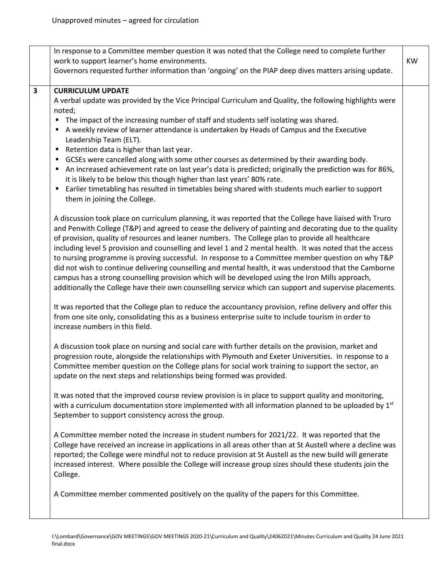$\mathsf{r}$ 

T

final.docx

| In response to a Committee member question it was noted that the College need to complete further<br>work to support learner's home environments.<br>Governors requested further information than 'ongoing' on the PIAP deep dives matters arising update.                                                                                                                                                                                                                                                                                                                                                                                                                                                                                                                                                                                                           | <b>KW</b> |
|----------------------------------------------------------------------------------------------------------------------------------------------------------------------------------------------------------------------------------------------------------------------------------------------------------------------------------------------------------------------------------------------------------------------------------------------------------------------------------------------------------------------------------------------------------------------------------------------------------------------------------------------------------------------------------------------------------------------------------------------------------------------------------------------------------------------------------------------------------------------|-----------|
| <b>CURRICULUM UPDATE</b><br>A verbal update was provided by the Vice Principal Curriculum and Quality, the following highlights were                                                                                                                                                                                                                                                                                                                                                                                                                                                                                                                                                                                                                                                                                                                                 |           |
| noted;                                                                                                                                                                                                                                                                                                                                                                                                                                                                                                                                                                                                                                                                                                                                                                                                                                                               |           |
| The impact of the increasing number of staff and students self isolating was shared.<br>п                                                                                                                                                                                                                                                                                                                                                                                                                                                                                                                                                                                                                                                                                                                                                                            |           |
| A weekly review of learner attendance is undertaken by Heads of Campus and the Executive<br>٠<br>Leadership Team (ELT).                                                                                                                                                                                                                                                                                                                                                                                                                                                                                                                                                                                                                                                                                                                                              |           |
| Retention data is higher than last year.<br>٠                                                                                                                                                                                                                                                                                                                                                                                                                                                                                                                                                                                                                                                                                                                                                                                                                        |           |
| GCSEs were cancelled along with some other courses as determined by their awarding body.<br>٠<br>An increased achievement rate on last year's data is predicted; originally the prediction was for 86%,<br>п                                                                                                                                                                                                                                                                                                                                                                                                                                                                                                                                                                                                                                                         |           |
| it is likely to be below this though higher than last years' 80% rate.<br>Earlier timetabling has resulted in timetables being shared with students much earlier to support<br>٠<br>them in joining the College.                                                                                                                                                                                                                                                                                                                                                                                                                                                                                                                                                                                                                                                     |           |
| A discussion took place on curriculum planning, it was reported that the College have liaised with Truro<br>and Penwith College (T&P) and agreed to cease the delivery of painting and decorating due to the quality<br>of provision, quality of resources and leaner numbers. The College plan to provide all healthcare<br>including level 5 provision and counselling and level 1 and 2 mental health. It was noted that the access<br>to nursing programme is proving successful. In response to a Committee member question on why T&P<br>did not wish to continue delivering counselling and mental health, it was understood that the Camborne<br>campus has a strong counselling provision which will be developed using the Iron Mills approach,<br>additionally the College have their own counselling service which can support and supervise placements. |           |
| It was reported that the College plan to reduce the accountancy provision, refine delivery and offer this<br>from one site only, consolidating this as a business enterprise suite to include tourism in order to<br>increase numbers in this field.                                                                                                                                                                                                                                                                                                                                                                                                                                                                                                                                                                                                                 |           |
| A discussion took place on nursing and social care with further details on the provision, market and<br>progression route, alongside the relationships with Plymouth and Exeter Universities. In response to a<br>Committee member question on the College plans for social work training to support the sector, an<br>update on the next steps and relationships being formed was provided.                                                                                                                                                                                                                                                                                                                                                                                                                                                                         |           |
| It was noted that the improved course review provision is in place to support quality and monitoring,<br>with a curriculum documentation store implemented with all information planned to be uploaded by $1st$<br>September to support consistency across the group.                                                                                                                                                                                                                                                                                                                                                                                                                                                                                                                                                                                                |           |
| A Committee member noted the increase in student numbers for 2021/22. It was reported that the<br>College have received an increase in applications in all areas other than at St Austell where a decline was<br>reported; the College were mindful not to reduce provision at St Austell as the new build will generate<br>increased interest. Where possible the College will increase group sizes should these students join the<br>College.                                                                                                                                                                                                                                                                                                                                                                                                                      |           |
| A Committee member commented positively on the quality of the papers for this Committee.                                                                                                                                                                                                                                                                                                                                                                                                                                                                                                                                                                                                                                                                                                                                                                             |           |

٦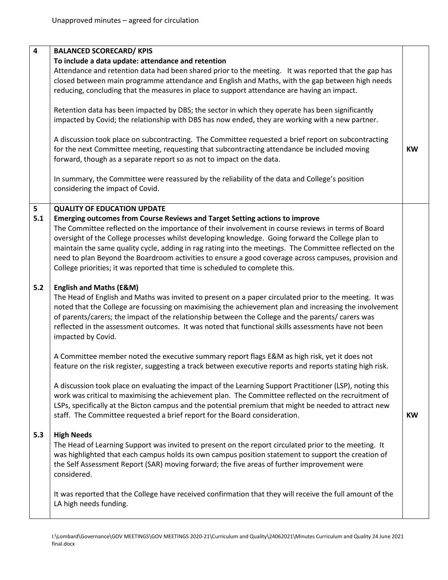| 4     | <b>BALANCED SCORECARD/ KPIS</b>                                                                                                                            |           |
|-------|------------------------------------------------------------------------------------------------------------------------------------------------------------|-----------|
|       |                                                                                                                                                            |           |
|       | To include a data update: attendance and retention<br>Attendance and retention data had been shared prior to the meeting. It was reported that the gap has |           |
|       | closed between main programme attendance and English and Maths, with the gap between high needs                                                            |           |
|       | reducing, concluding that the measures in place to support attendance are having an impact.                                                                |           |
|       |                                                                                                                                                            |           |
|       | Retention data has been impacted by DBS; the sector in which they operate has been significantly                                                           |           |
|       | impacted by Covid; the relationship with DBS has now ended, they are working with a new partner.                                                           |           |
|       |                                                                                                                                                            |           |
|       | A discussion took place on subcontracting. The Committee requested a brief report on subcontracting                                                        |           |
|       | for the next Committee meeting, requesting that subcontracting attendance be included moving                                                               | <b>KW</b> |
|       | forward, though as a separate report so as not to impact on the data.                                                                                      |           |
|       |                                                                                                                                                            |           |
|       | In summary, the Committee were reassured by the reliability of the data and College's position                                                             |           |
|       | considering the impact of Covid.                                                                                                                           |           |
|       |                                                                                                                                                            |           |
| 5     | <b>QUALITY OF EDUCATION UPDATE</b>                                                                                                                         |           |
| 5.1   | Emerging outcomes from Course Reviews and Target Setting actions to improve                                                                                |           |
|       | The Committee reflected on the importance of their involvement in course reviews in terms of Board                                                         |           |
|       | oversight of the College processes whilst developing knowledge. Going forward the College plan to                                                          |           |
|       | maintain the same quality cycle, adding in rag rating into the meetings. The Committee reflected on the                                                    |           |
|       | need to plan Beyond the Boardroom activities to ensure a good coverage across campuses, provision and                                                      |           |
|       | College priorities; it was reported that time is scheduled to complete this.                                                                               |           |
|       |                                                                                                                                                            |           |
| $5.2$ | <b>English and Maths (E&amp;M)</b>                                                                                                                         |           |
|       | The Head of English and Maths was invited to present on a paper circulated prior to the meeting. It was                                                    |           |
|       | noted that the College are focussing on maximising the achievement plan and increasing the involvement                                                     |           |
|       | of parents/carers; the impact of the relationship between the College and the parents/ carers was                                                          |           |
|       | reflected in the assessment outcomes. It was noted that functional skills assessments have not been                                                        |           |
|       | impacted by Covid.                                                                                                                                         |           |
|       | A Committee member noted the executive summary report flags E&M as high risk, yet it does not                                                              |           |
|       | feature on the risk register, suggesting a track between executive reports and reports stating high risk.                                                  |           |
|       |                                                                                                                                                            |           |
|       | A discussion took place on evaluating the impact of the Learning Support Practitioner (LSP), noting this                                                   |           |
|       | work was critical to maximising the achievement plan. The Committee reflected on the recruitment of                                                        |           |
|       | LSPs, specifically at the Bicton campus and the potential premium that might be needed to attract new                                                      |           |
|       | staff. The Committee requested a brief report for the Board consideration.                                                                                 | <b>KW</b> |
|       |                                                                                                                                                            |           |
| 5.3   | <b>High Needs</b>                                                                                                                                          |           |
|       | The Head of Learning Support was invited to present on the report circulated prior to the meeting. It                                                      |           |
|       | was highlighted that each campus holds its own campus position statement to support the creation of                                                        |           |
|       | the Self Assessment Report (SAR) moving forward; the five areas of further improvement were                                                                |           |
|       | considered.                                                                                                                                                |           |
|       |                                                                                                                                                            |           |
|       | It was reported that the College have received confirmation that they will receive the full amount of the                                                  |           |
|       | LA high needs funding.                                                                                                                                     |           |
|       |                                                                                                                                                            |           |

I:\Lombard\Governance\GOV MEETINGS\GOV MEETINGS 2020-21\Curriculum and Quality\24062021\Minutes Curriculum and Quality 24 June 2021 final.docx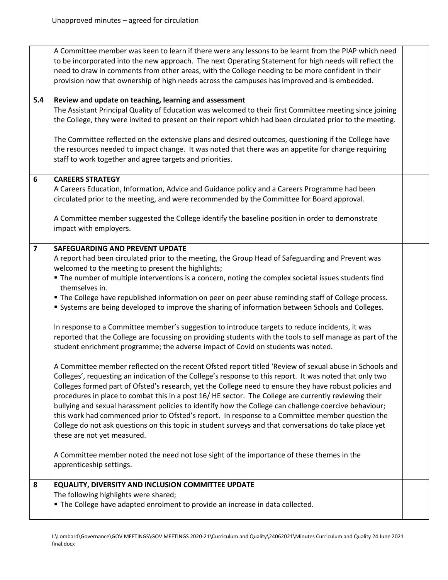| 5.4                     | A Committee member was keen to learn if there were any lessons to be learnt from the PIAP which need<br>to be incorporated into the new approach. The next Operating Statement for high needs will reflect the<br>need to draw in comments from other areas, with the College needing to be more confident in their<br>provision now that ownership of high needs across the campuses has improved and is embedded.<br>Review and update on teaching, learning and assessment                                                                                                                                                                                                                                                                                                                                                                                                                                                                                                                                                                                                                                                                                                                                                                                                                                                                                                                                                                                                                                                                                                                                                                                                                                                                                        |  |
|-------------------------|----------------------------------------------------------------------------------------------------------------------------------------------------------------------------------------------------------------------------------------------------------------------------------------------------------------------------------------------------------------------------------------------------------------------------------------------------------------------------------------------------------------------------------------------------------------------------------------------------------------------------------------------------------------------------------------------------------------------------------------------------------------------------------------------------------------------------------------------------------------------------------------------------------------------------------------------------------------------------------------------------------------------------------------------------------------------------------------------------------------------------------------------------------------------------------------------------------------------------------------------------------------------------------------------------------------------------------------------------------------------------------------------------------------------------------------------------------------------------------------------------------------------------------------------------------------------------------------------------------------------------------------------------------------------------------------------------------------------------------------------------------------------|--|
|                         | The Assistant Principal Quality of Education was welcomed to their first Committee meeting since joining<br>the College, they were invited to present on their report which had been circulated prior to the meeting.                                                                                                                                                                                                                                                                                                                                                                                                                                                                                                                                                                                                                                                                                                                                                                                                                                                                                                                                                                                                                                                                                                                                                                                                                                                                                                                                                                                                                                                                                                                                                |  |
|                         | The Committee reflected on the extensive plans and desired outcomes, questioning if the College have<br>the resources needed to impact change. It was noted that there was an appetite for change requiring<br>staff to work together and agree targets and priorities.                                                                                                                                                                                                                                                                                                                                                                                                                                                                                                                                                                                                                                                                                                                                                                                                                                                                                                                                                                                                                                                                                                                                                                                                                                                                                                                                                                                                                                                                                              |  |
| 6                       | <b>CAREERS STRATEGY</b><br>A Careers Education, Information, Advice and Guidance policy and a Careers Programme had been<br>circulated prior to the meeting, and were recommended by the Committee for Board approval.                                                                                                                                                                                                                                                                                                                                                                                                                                                                                                                                                                                                                                                                                                                                                                                                                                                                                                                                                                                                                                                                                                                                                                                                                                                                                                                                                                                                                                                                                                                                               |  |
|                         | A Committee member suggested the College identify the baseline position in order to demonstrate<br>impact with employers.                                                                                                                                                                                                                                                                                                                                                                                                                                                                                                                                                                                                                                                                                                                                                                                                                                                                                                                                                                                                                                                                                                                                                                                                                                                                                                                                                                                                                                                                                                                                                                                                                                            |  |
| $\overline{\mathbf{z}}$ | <b>SAFEGUARDING AND PREVENT UPDATE</b><br>A report had been circulated prior to the meeting, the Group Head of Safeguarding and Prevent was<br>welcomed to the meeting to present the highlights;<br>The number of multiple interventions is a concern, noting the complex societal issues students find<br>themselves in.<br>" The College have republished information on peer on peer abuse reminding staff of College process.<br>" Systems are being developed to improve the sharing of information between Schools and Colleges.<br>In response to a Committee member's suggestion to introduce targets to reduce incidents, it was<br>reported that the College are focussing on providing students with the tools to self manage as part of the<br>student enrichment programme; the adverse impact of Covid on students was noted.<br>A Committee member reflected on the recent Ofsted report titled 'Review of sexual abuse in Schools and<br>Colleges', requesting an indication of the College's response to this report. It was noted that only two<br>Colleges formed part of Ofsted's research, yet the College need to ensure they have robust policies and<br>procedures in place to combat this in a post 16/HE sector. The College are currently reviewing their<br>bullying and sexual harassment policies to identify how the College can challenge coercive behaviour;<br>this work had commenced prior to Ofsted's report. In response to a Committee member question the<br>College do not ask questions on this topic in student surveys and that conversations do take place yet<br>these are not yet measured.<br>A Committee member noted the need not lose sight of the importance of these themes in the<br>apprenticeship settings. |  |
| 8                       | <b>EQUALITY, DIVERSITY AND INCLUSION COMMITTEE UPDATE</b><br>The following highlights were shared;<br>" The College have adapted enrolment to provide an increase in data collected.                                                                                                                                                                                                                                                                                                                                                                                                                                                                                                                                                                                                                                                                                                                                                                                                                                                                                                                                                                                                                                                                                                                                                                                                                                                                                                                                                                                                                                                                                                                                                                                 |  |